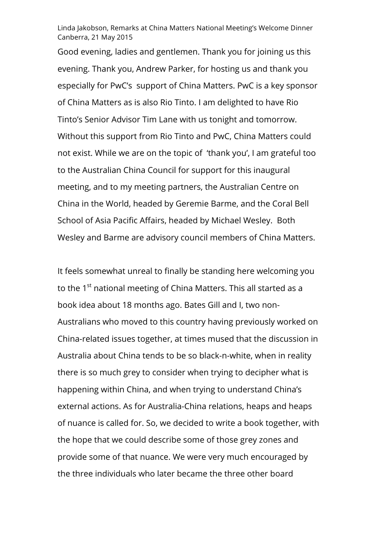Linda Jakobson, Remarks at China Matters National Meeting's Welcome Dinner Canberra, 21 May 2015

Good evening, ladies and gentlemen. Thank you for joining us this evening. Thank you, Andrew Parker, for hosting us and thank you especially for PwC's support of China Matters. PwC is a key sponsor of China Matters as is also Rio Tinto. I am delighted to have Rio Tinto's Senior Advisor Tim Lane with us tonight and tomorrow. Without this support from Rio Tinto and PwC, China Matters could not exist. While we are on the topic of 'thank you', I am grateful too to the Australian China Council for support for this inaugural meeting, and to my meeting partners, the Australian Centre on China in the World, headed by Geremie Barme, and the Coral Bell School of Asia Pacific Affairs, headed by Michael Wesley. Both Wesley and Barme are advisory council members of China Matters.

It feels somewhat unreal to finally be standing here welcoming you to the 1<sup>st</sup> national meeting of China Matters. This all started as a book idea about 18 months ago. Bates Gill and I, two non-Australians who moved to this country having previously worked on China-related issues together, at times mused that the discussion in Australia about China tends to be so black-n-white, when in reality there is so much grey to consider when trying to decipher what is happening within China, and when trying to understand China's external actions. As for Australia-China relations, heaps and heaps of nuance is called for. So, we decided to write a book together, with the hope that we could describe some of those grey zones and provide some of that nuance. We were very much encouraged by the three individuals who later became the three other board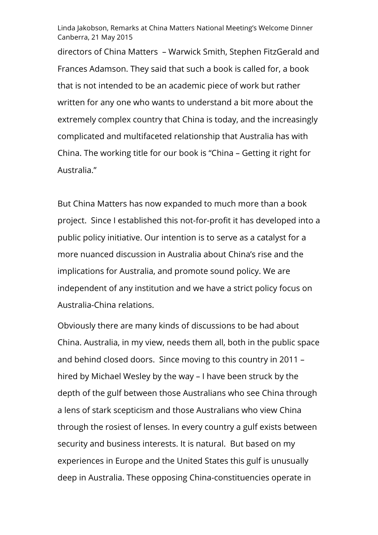Linda Jakobson, Remarks at China Matters National Meeting's Welcome Dinner Canberra, 21 May 2015

directors of China Matters – Warwick Smith, Stephen FitzGerald and Frances Adamson. They said that such a book is called for, a book that is not intended to be an academic piece of work but rather written for any one who wants to understand a bit more about the extremely complex country that China is today, and the increasingly complicated and multifaceted relationship that Australia has with China. The working title for our book is "China – Getting it right for Australia."

But China Matters has now expanded to much more than a book project. Since I established this not-for-profit it has developed into a public policy initiative. Our intention is to serve as a catalyst for a more nuanced discussion in Australia about China's rise and the implications for Australia, and promote sound policy. We are independent of any institution and we have a strict policy focus on Australia-China relations.

Obviously there are many kinds of discussions to be had about China. Australia, in my view, needs them all, both in the public space and behind closed doors. Since moving to this country in 2011 – hired by Michael Wesley by the way – I have been struck by the depth of the gulf between those Australians who see China through a lens of stark scepticism and those Australians who view China through the rosiest of lenses. In every country a gulf exists between security and business interests. It is natural. But based on my experiences in Europe and the United States this gulf is unusually deep in Australia. These opposing China-constituencies operate in